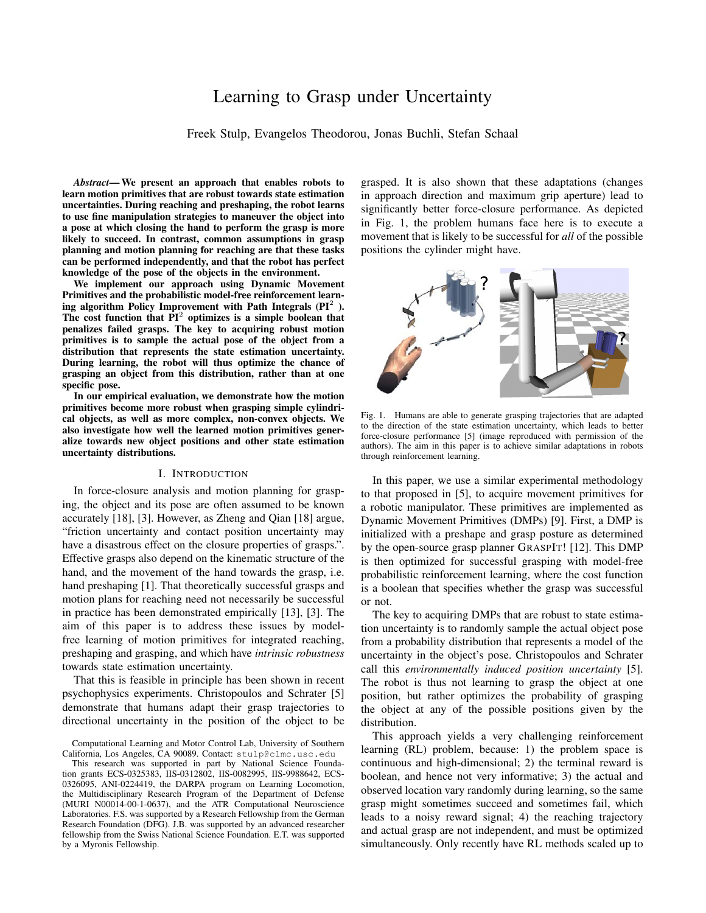# Learning to Grasp under Uncertainty

Freek Stulp, Evangelos Theodorou, Jonas Buchli, Stefan Schaal

*Abstract*— We present an approach that enables robots to learn motion primitives that are robust towards state estimation uncertainties. During reaching and preshaping, the robot learns to use fine manipulation strategies to maneuver the object into a pose at which closing the hand to perform the grasp is more likely to succeed. In contrast, common assumptions in grasp planning and motion planning for reaching are that these tasks can be performed independently, and that the robot has perfect knowledge of the pose of the objects in the environment.

We implement our approach using Dynamic Movement Primitives and the probabilistic model-free reinforcement learning algorithm Policy Improvement with Path Integrals (PI $^2$  ). The cost function that  $\overline{PI}^2$  optimizes is a simple boolean that penalizes failed grasps. The key to acquiring robust motion primitives is to sample the actual pose of the object from a distribution that represents the state estimation uncertainty. During learning, the robot will thus optimize the chance of grasping an object from this distribution, rather than at one specific pose.

In our empirical evaluation, we demonstrate how the motion primitives become more robust when grasping simple cylindrical objects, as well as more complex, non-convex objects. We also investigate how well the learned motion primitives generalize towards new object positions and other state estimation uncertainty distributions.

#### I. INTRODUCTION

In force-closure analysis and motion planning for grasping, the object and its pose are often assumed to be known accurately [18], [3]. However, as Zheng and Qian [18] argue, "friction uncertainty and contact position uncertainty may have a disastrous effect on the closure properties of grasps.". Effective grasps also depend on the kinematic structure of the hand, and the movement of the hand towards the grasp, i.e. hand preshaping [1]. That theoretically successful grasps and motion plans for reaching need not necessarily be successful in practice has been demonstrated empirically [13], [3]. The aim of this paper is to address these issues by modelfree learning of motion primitives for integrated reaching, preshaping and grasping, and which have *intrinsic robustness* towards state estimation uncertainty.

That this is feasible in principle has been shown in recent psychophysics experiments. Christopoulos and Schrater [5] demonstrate that humans adapt their grasp trajectories to directional uncertainty in the position of the object to be grasped. It is also shown that these adaptations (changes in approach direction and maximum grip aperture) lead to significantly better force-closure performance. As depicted in Fig. 1, the problem humans face here is to execute a movement that is likely to be successful for *all* of the possible positions the cylinder might have.



Fig. 1. Humans are able to generate grasping trajectories that are adapted to the direction of the state estimation uncertainty, which leads to better force-closure performance [5] (image reproduced with permission of the authors). The aim in this paper is to achieve similar adaptations in robots through reinforcement learning.

In this paper, we use a similar experimental methodology to that proposed in [5], to acquire movement primitives for a robotic manipulator. These primitives are implemented as Dynamic Movement Primitives (DMPs) [9]. First, a DMP is initialized with a preshape and grasp posture as determined by the open-source grasp planner GRASPIT! [12]. This DMP is then optimized for successful grasping with model-free probabilistic reinforcement learning, where the cost function is a boolean that specifies whether the grasp was successful or not.

The key to acquiring DMPs that are robust to state estimation uncertainty is to randomly sample the actual object pose from a probability distribution that represents a model of the uncertainty in the object's pose. Christopoulos and Schrater call this *environmentally induced position uncertainty* [5]. The robot is thus not learning to grasp the object at one position, but rather optimizes the probability of grasping the object at any of the possible positions given by the distribution.

This approach yields a very challenging reinforcement learning (RL) problem, because: 1) the problem space is continuous and high-dimensional; 2) the terminal reward is boolean, and hence not very informative; 3) the actual and observed location vary randomly during learning, so the same grasp might sometimes succeed and sometimes fail, which leads to a noisy reward signal; 4) the reaching trajectory and actual grasp are not independent, and must be optimized simultaneously. Only recently have RL methods scaled up to

Computational Learning and Motor Control Lab, University of Southern California, Los Angeles, CA 90089. Contact: stulp@clmc.usc.edu

This research was supported in part by National Science Foundation grants ECS-0325383, IIS-0312802, IIS-0082995, IIS-9988642, ECS-0326095, ANI-0224419, the DARPA program on Learning Locomotion, the Multidisciplinary Research Program of the Department of Defense (MURI N00014-00-1-0637), and the ATR Computational Neuroscience Laboratories. F.S. was supported by a Research Fellowship from the German Research Foundation (DFG). J.B. was supported by an advanced researcher fellowship from the Swiss National Science Foundation. E.T. was supported by a Myronis Fellowship.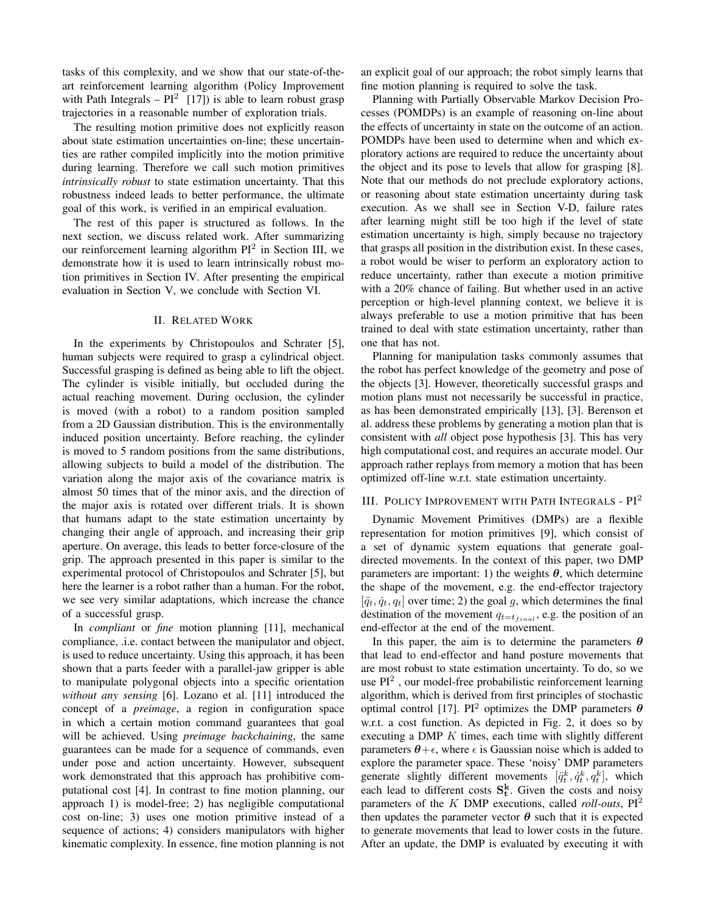tasks of this complexity, and we show that our state-of-theart reinforcement learning algorithm (Policy Improvement with Path Integrals  $-PI^2$  [17]) is able to learn robust grasp trajectories in a reasonable number of exploration trials.

The resulting motion primitive does not explicitly reason about state estimation uncertainties on-line; these uncertainties are rather compiled implicitly into the motion primitive during learning. Therefore we call such motion primitives *intrinsically robust* to state estimation uncertainty. That this robustness indeed leads to better performance, the ultimate goal of this work, is verified in an empirical evaluation.

The rest of this paper is structured as follows. In the next section, we discuss related work. After summarizing our reinforcement learning algorithm  $PI^2$  in Section III, we demonstrate how it is used to learn intrinsically robust motion primitives in Section IV. After presenting the empirical evaluation in Section V, we conclude with Section VI.

## II. RELATED WORK

In the experiments by Christopoulos and Schrater [5], human subjects were required to grasp a cylindrical object. Successful grasping is defined as being able to lift the object. The cylinder is visible initially, but occluded during the actual reaching movement. During occlusion, the cylinder is moved (with a robot) to a random position sampled from a 2D Gaussian distribution. This is the environmentally induced position uncertainty. Before reaching, the cylinder is moved to 5 random positions from the same distributions, allowing subjects to build a model of the distribution. The variation along the major axis of the covariance matrix is almost 50 times that of the minor axis, and the direction of the major axis is rotated over different trials. It is shown that humans adapt to the state estimation uncertainty by changing their angle of approach, and increasing their grip aperture. On average, this leads to better force-closure of the grip. The approach presented in this paper is similar to the experimental protocol of Christopoulos and Schrater [5], but here the learner is a robot rather than a human. For the robot, we see very similar adaptations, which increase the chance of a successful grasp.

In *compliant* or *fine* motion planning [11], mechanical compliance, .i.e. contact between the manipulator and object, is used to reduce uncertainty. Using this approach, it has been shown that a parts feeder with a parallel-jaw gripper is able to manipulate polygonal objects into a specific orientation *without any sensing* [6]. Lozano et al. [11] introduced the concept of a *preimage*, a region in configuration space in which a certain motion command guarantees that goal will be achieved. Using *preimage backchaining*, the same guarantees can be made for a sequence of commands, even under pose and action uncertainty. However, subsequent work demonstrated that this approach has prohibitive computational cost [4]. In contrast to fine motion planning, our approach 1) is model-free; 2) has negligible computational cost on-line; 3) uses one motion primitive instead of a sequence of actions; 4) considers manipulators with higher kinematic complexity. In essence, fine motion planning is not

an explicit goal of our approach; the robot simply learns that fine motion planning is required to solve the task.

Planning with Partially Observable Markov Decision Processes (POMDPs) is an example of reasoning on-line about the effects of uncertainty in state on the outcome of an action. POMDPs have been used to determine when and which exploratory actions are required to reduce the uncertainty about the object and its pose to levels that allow for grasping [8]. Note that our methods do not preclude exploratory actions, or reasoning about state estimation uncertainty during task execution. As we shall see in Section V-D, failure rates after learning might still be too high if the level of state estimation uncertainty is high, simply because no trajectory that grasps all position in the distribution exist. In these cases, a robot would be wiser to perform an exploratory action to reduce uncertainty, rather than execute a motion primitive with a 20% chance of failing. But whether used in an active perception or high-level planning context, we believe it is always preferable to use a motion primitive that has been trained to deal with state estimation uncertainty, rather than one that has not.

Planning for manipulation tasks commonly assumes that the robot has perfect knowledge of the geometry and pose of the objects [3]. However, theoretically successful grasps and motion plans must not necessarily be successful in practice, as has been demonstrated empirically [13], [3]. Berenson et al. address these problems by generating a motion plan that is consistent with *all* object pose hypothesis [3]. This has very high computational cost, and requires an accurate model. Our approach rather replays from memory a motion that has been optimized off-line w.r.t. state estimation uncertainty.

## III. POLICY IMPROVEMENT WITH PATH INTEGRALS - PI<sup>2</sup>

Dynamic Movement Primitives (DMPs) are a flexible representation for motion primitives [9], which consist of a set of dynamic system equations that generate goaldirected movements. In the context of this paper, two DMP parameters are important: 1) the weights  $\theta$ , which determine the shape of the movement, e.g. the end-effector trajectory  $[\ddot{q}_t, \dot{q}_t, q_t]$  over time; 2) the goal g, which determines the final destination of the movement  $q_{t=t_{final}}$ , e.g. the position of an end-effector at the end of the movement.

In this paper, the aim is to determine the parameters  $\theta$ that lead to end-effector and hand posture movements that are most robust to state estimation uncertainty. To do, so we use PI<sup>2</sup>, our model-free probabilistic reinforcement learning algorithm, which is derived from first principles of stochastic optimal control [17]. PI<sup>2</sup> optimizes the DMP parameters  $\theta$ w.r.t. a cost function. As depicted in Fig. 2, it does so by executing a DMP  $K$  times, each time with slightly different parameters  $\theta + \epsilon$ , where  $\epsilon$  is Gaussian noise which is added to explore the parameter space. These 'noisy' DMP parameters generate slightly different movements  $[\ddot{q}_t^k, \dot{q}_t^k, q_t^k]$ , which each lead to different costs  $S_t^k$ . Given the costs and noisy parameters of the K DMP executions, called *roll-outs*, PI<sup>2</sup> then updates the parameter vector  $\theta$  such that it is expected to generate movements that lead to lower costs in the future. After an update, the DMP is evaluated by executing it with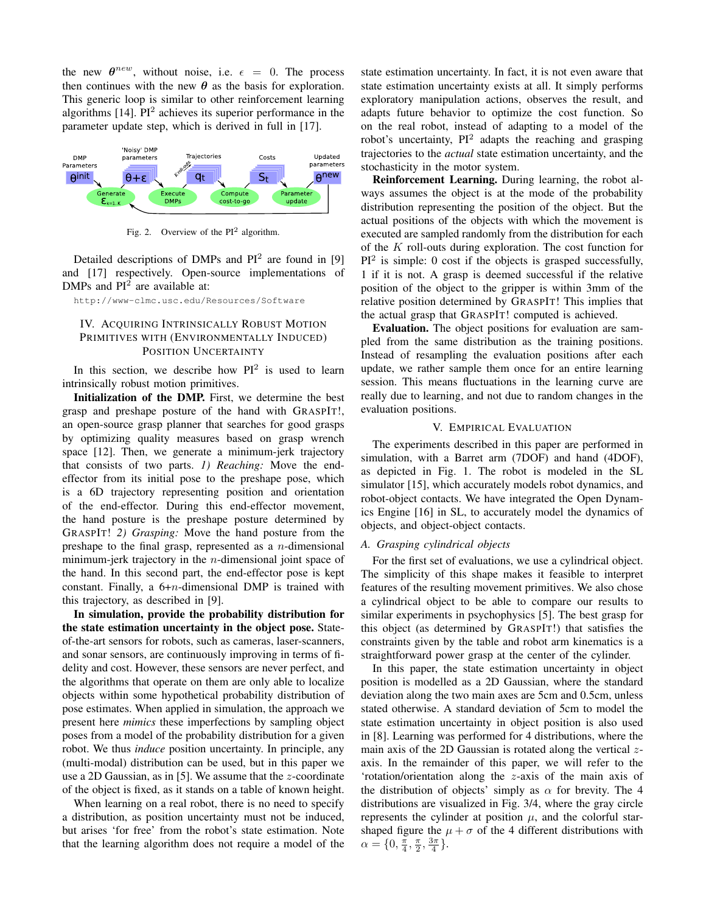the new  $\theta^{new}$ , without noise, i.e.  $\epsilon = 0$ . The process then continues with the new  $\theta$  as the basis for exploration. This generic loop is similar to other reinforcement learning algorithms [14].  $PI<sup>2</sup>$  achieves its superior performance in the parameter update step, which is derived in full in [17].



Fig. 2. Overview of the  $PI<sup>2</sup>$  algorithm.

Detailed descriptions of DMPs and  $PI^2$  are found in [9] and [17] respectively. Open-source implementations of DMPs and  $PI<sup>2</sup>$  are available at:

http://www-clmc.usc.edu/Resources/Software

## IV. ACQUIRING INTRINSICALLY ROBUST MOTION PRIMITIVES WITH (ENVIRONMENTALLY INDUCED) POSITION UNCERTAINTY

In this section, we describe how  $PI^2$  is used to learn intrinsically robust motion primitives.

Initialization of the DMP. First, we determine the best grasp and preshape posture of the hand with GRASPIT!, an open-source grasp planner that searches for good grasps by optimizing quality measures based on grasp wrench space [12]. Then, we generate a minimum-jerk trajectory that consists of two parts. *1) Reaching:* Move the endeffector from its initial pose to the preshape pose, which is a 6D trajectory representing position and orientation of the end-effector. During this end-effector movement, the hand posture is the preshape posture determined by GRASPIT! *2) Grasping:* Move the hand posture from the preshape to the final grasp, represented as a  $n$ -dimensional minimum-jerk trajectory in the n-dimensional joint space of the hand. In this second part, the end-effector pose is kept constant. Finally, a  $6+n$ -dimensional DMP is trained with this trajectory, as described in [9].

In simulation, provide the probability distribution for the state estimation uncertainty in the object pose. Stateof-the-art sensors for robots, such as cameras, laser-scanners, and sonar sensors, are continuously improving in terms of fidelity and cost. However, these sensors are never perfect, and the algorithms that operate on them are only able to localize objects within some hypothetical probability distribution of pose estimates. When applied in simulation, the approach we present here *mimics* these imperfections by sampling object poses from a model of the probability distribution for a given robot. We thus *induce* position uncertainty. In principle, any (multi-modal) distribution can be used, but in this paper we use a 2D Gaussian, as in [5]. We assume that the z-coordinate of the object is fixed, as it stands on a table of known height.

When learning on a real robot, there is no need to specify a distribution, as position uncertainty must not be induced, but arises 'for free' from the robot's state estimation. Note that the learning algorithm does not require a model of the state estimation uncertainty. In fact, it is not even aware that state estimation uncertainty exists at all. It simply performs exploratory manipulation actions, observes the result, and adapts future behavior to optimize the cost function. So on the real robot, instead of adapting to a model of the robot's uncertainty,  $PI^2$  adapts the reaching and grasping trajectories to the *actual* state estimation uncertainty, and the stochasticity in the motor system.

Reinforcement Learning. During learning, the robot always assumes the object is at the mode of the probability distribution representing the position of the object. But the actual positions of the objects with which the movement is executed are sampled randomly from the distribution for each of the K roll-outs during exploration. The cost function for  $PI<sup>2</sup>$  is simple: 0 cost if the objects is grasped successfully, 1 if it is not. A grasp is deemed successful if the relative position of the object to the gripper is within 3mm of the relative position determined by GRASPIT! This implies that the actual grasp that GRASPIT! computed is achieved.

Evaluation. The object positions for evaluation are sampled from the same distribution as the training positions. Instead of resampling the evaluation positions after each update, we rather sample them once for an entire learning session. This means fluctuations in the learning curve are really due to learning, and not due to random changes in the evaluation positions.

#### V. EMPIRICAL EVALUATION

The experiments described in this paper are performed in simulation, with a Barret arm (7DOF) and hand (4DOF), as depicted in Fig. 1. The robot is modeled in the SL simulator [15], which accurately models robot dynamics, and robot-object contacts. We have integrated the Open Dynamics Engine [16] in SL, to accurately model the dynamics of objects, and object-object contacts.

#### *A. Grasping cylindrical objects*

For the first set of evaluations, we use a cylindrical object. The simplicity of this shape makes it feasible to interpret features of the resulting movement primitives. We also chose a cylindrical object to be able to compare our results to similar experiments in psychophysics [5]. The best grasp for this object (as determined by GRASPIT!) that satisfies the constraints given by the table and robot arm kinematics is a straightforward power grasp at the center of the cylinder.

In this paper, the state estimation uncertainty in object position is modelled as a 2D Gaussian, where the standard deviation along the two main axes are 5cm and 0.5cm, unless stated otherwise. A standard deviation of 5cm to model the state estimation uncertainty in object position is also used in [8]. Learning was performed for 4 distributions, where the main axis of the 2D Gaussian is rotated along the vertical  $z$ axis. In the remainder of this paper, we will refer to the 'rotation/orientation along the z-axis of the main axis of the distribution of objects' simply as  $\alpha$  for brevity. The 4 distributions are visualized in Fig. 3/4, where the gray circle represents the cylinder at position  $\mu$ , and the colorful starshaped figure the  $\mu + \sigma$  of the 4 different distributions with  $\alpha = \{0, \frac{\pi}{4}, \frac{\pi}{2}, \frac{3\pi}{4}\}.$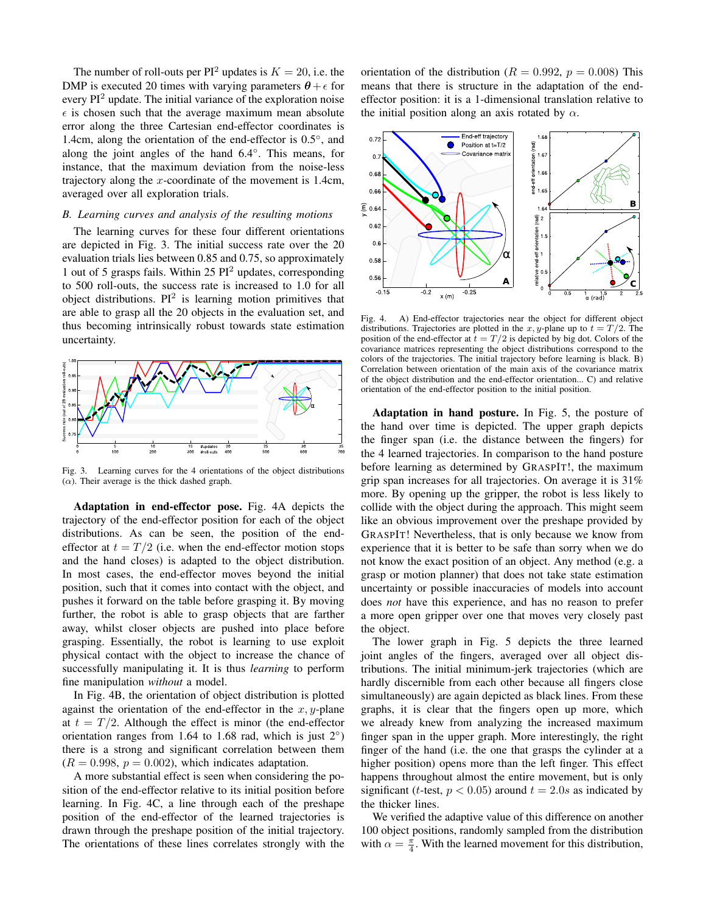The number of roll-outs per  $PI^2$  updates is  $K = 20$ , i.e. the DMP is executed 20 times with varying parameters  $\theta + \epsilon$  for every  $PI<sup>2</sup>$  update. The initial variance of the exploration noise  $\epsilon$  is chosen such that the average maximum mean absolute error along the three Cartesian end-effector coordinates is 1.4cm, along the orientation of the end-effector is 0.5◦ , and along the joint angles of the hand 6.4◦ . This means, for instance, that the maximum deviation from the noise-less trajectory along the x-coordinate of the movement is 1.4cm, averaged over all exploration trials.

#### *B. Learning curves and analysis of the resulting motions*

The learning curves for these four different orientations are depicted in Fig. 3. The initial success rate over the 20 evaluation trials lies between 0.85 and 0.75, so approximately 1 out of 5 grasps fails. Within  $25 \text{ PI}^2$  updates, corresponding to 500 roll-outs, the success rate is increased to 1.0 for all object distributions.  $PI^2$  is learning motion primitives that are able to grasp all the 20 objects in the evaluation set, and thus becoming intrinsically robust towards state estimation uncertainty.



Fig. 3. Learning curves for the 4 orientations of the object distributions  $(\alpha)$ . Their average is the thick dashed graph.

Adaptation in end-effector pose. Fig. 4A depicts the trajectory of the end-effector position for each of the object distributions. As can be seen, the position of the endeffector at  $t = T/2$  (i.e. when the end-effector motion stops and the hand closes) is adapted to the object distribution. In most cases, the end-effector moves beyond the initial position, such that it comes into contact with the object, and pushes it forward on the table before grasping it. By moving further, the robot is able to grasp objects that are farther away, whilst closer objects are pushed into place before grasping. Essentially, the robot is learning to use exploit physical contact with the object to increase the chance of successfully manipulating it. It is thus *learning* to perform fine manipulation *without* a model.

In Fig. 4B, the orientation of object distribution is plotted against the orientation of the end-effector in the  $x, y$ -plane at  $t = T/2$ . Although the effect is minor (the end-effector orientation ranges from 1.64 to 1.68 rad, which is just  $2°$ ) there is a strong and significant correlation between them  $(R = 0.998, p = 0.002)$ , which indicates adaptation.

A more substantial effect is seen when considering the position of the end-effector relative to its initial position before learning. In Fig. 4C, a line through each of the preshape position of the end-effector of the learned trajectories is drawn through the preshape position of the initial trajectory. The orientations of these lines correlates strongly with the orientation of the distribution ( $R = 0.992$ ,  $p = 0.008$ ) This means that there is structure in the adaptation of the endeffector position: it is a 1-dimensional translation relative to the initial position along an axis rotated by  $\alpha$ .



Fig. 4. A) End-effector trajectories near the object for different object distributions. Trajectories are plotted in the x, y-plane up to  $t = T/2$ . The position of the end-effector at  $t = T/2$  is depicted by big dot. Colors of the covariance matrices representing the object distributions correspond to the colors of the trajectories. The initial trajectory before learning is black. B) Correlation between orientation of the main axis of the covariance matrix of the object distribution and the end-effector orientation... C) and relative orientation of the end-effector position to the initial position.

Adaptation in hand posture. In Fig. 5, the posture of the hand over time is depicted. The upper graph depicts the finger span (i.e. the distance between the fingers) for the 4 learned trajectories. In comparison to the hand posture before learning as determined by GRASPIT!, the maximum grip span increases for all trajectories. On average it is 31% more. By opening up the gripper, the robot is less likely to collide with the object during the approach. This might seem like an obvious improvement over the preshape provided by GRASPIT! Nevertheless, that is only because we know from experience that it is better to be safe than sorry when we do not know the exact position of an object. Any method (e.g. a grasp or motion planner) that does not take state estimation uncertainty or possible inaccuracies of models into account does *not* have this experience, and has no reason to prefer a more open gripper over one that moves very closely past the object.

The lower graph in Fig. 5 depicts the three learned joint angles of the fingers, averaged over all object distributions. The initial minimum-jerk trajectories (which are hardly discernible from each other because all fingers close simultaneously) are again depicted as black lines. From these graphs, it is clear that the fingers open up more, which we already knew from analyzing the increased maximum finger span in the upper graph. More interestingly, the right finger of the hand (i.e. the one that grasps the cylinder at a higher position) opens more than the left finger. This effect happens throughout almost the entire movement, but is only significant (*t*-test,  $p < 0.05$ ) around  $t = 2.0s$  as indicated by the thicker lines.

We verified the adaptive value of this difference on another 100 object positions, randomly sampled from the distribution with  $\alpha = \frac{\pi}{4}$ . With the learned movement for this distribution,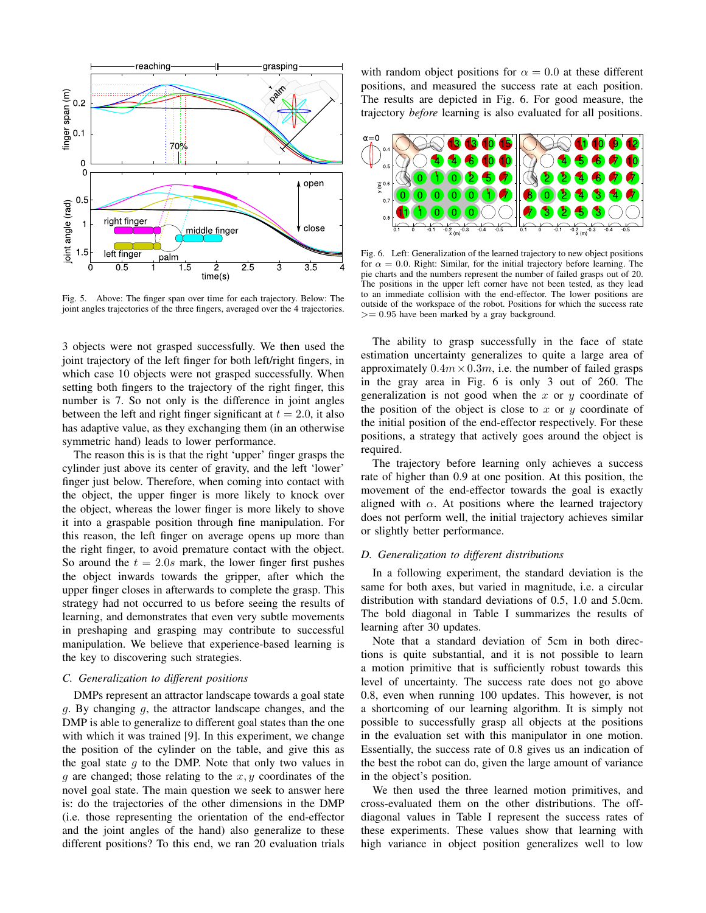

Fig. 5. Above: The finger span over time for each trajectory. Below: The joint angles trajectories of the three fingers, averaged over the 4 trajectories.

3 objects were not grasped successfully. We then used the joint trajectory of the left finger for both left/right fingers, in which case 10 objects were not grasped successfully. When setting both fingers to the trajectory of the right finger, this number is 7. So not only is the difference in joint angles between the left and right finger significant at  $t = 2.0$ , it also has adaptive value, as they exchanging them (in an otherwise symmetric hand) leads to lower performance.

The reason this is is that the right 'upper' finger grasps the cylinder just above its center of gravity, and the left 'lower' finger just below. Therefore, when coming into contact with the object, the upper finger is more likely to knock over the object, whereas the lower finger is more likely to shove it into a graspable position through fine manipulation. For this reason, the left finger on average opens up more than the right finger, to avoid premature contact with the object. So around the  $t = 2.0s$  mark, the lower finger first pushes the object inwards towards the gripper, after which the upper finger closes in afterwards to complete the grasp. This strategy had not occurred to us before seeing the results of learning, and demonstrates that even very subtle movements in preshaping and grasping may contribute to successful manipulation. We believe that experience-based learning is the key to discovering such strategies.

#### *C. Generalization to different positions*

DMPs represent an attractor landscape towards a goal state g. By changing g, the attractor landscape changes, and the DMP is able to generalize to different goal states than the one with which it was trained [9]. In this experiment, we change the position of the cylinder on the table, and give this as the goal state  $q$  to the DMP. Note that only two values in  $g$  are changed; those relating to the  $x, y$  coordinates of the novel goal state. The main question we seek to answer here is: do the trajectories of the other dimensions in the DMP (i.e. those representing the orientation of the end-effector and the joint angles of the hand) also generalize to these different positions? To this end, we ran 20 evaluation trials

with random object positions for  $\alpha = 0.0$  at these different positions, and measured the success rate at each position. The results are depicted in Fig. 6. For good measure, the trajectory *before* learning is also evaluated for all positions.



Fig. 6. Left: Generalization of the learned trajectory to new object positions for  $\alpha = 0.0$ . Right: Similar, for the initial trajectory before learning. The pie charts and the numbers represent the number of failed grasps out of 20. The positions in the upper left corner have not been tested, as they lead to an immediate collision with the end-effector. The lower positions are outside of the workspace of the robot. Positions for which the success rate  $>= 0.95$  have been marked by a gray background.

The ability to grasp successfully in the face of state estimation uncertainty generalizes to quite a large area of approximately  $0.4m \times 0.3m$ , i.e. the number of failed grasps in the gray area in Fig. 6 is only 3 out of 260. The generalization is not good when the  $x$  or  $y$  coordinate of the position of the object is close to x or y coordinate of the initial position of the end-effector respectively. For these positions, a strategy that actively goes around the object is required.

The trajectory before learning only achieves a success rate of higher than 0.9 at one position. At this position, the movement of the end-effector towards the goal is exactly aligned with  $\alpha$ . At positions where the learned trajectory does not perform well, the initial trajectory achieves similar or slightly better performance.

## *D. Generalization to different distributions*

In a following experiment, the standard deviation is the same for both axes, but varied in magnitude, i.e. a circular distribution with standard deviations of 0.5, 1.0 and 5.0cm. The bold diagonal in Table I summarizes the results of learning after 30 updates.

Note that a standard deviation of 5cm in both directions is quite substantial, and it is not possible to learn a motion primitive that is sufficiently robust towards this level of uncertainty. The success rate does not go above 0.8, even when running 100 updates. This however, is not a shortcoming of our learning algorithm. It is simply not possible to successfully grasp all objects at the positions in the evaluation set with this manipulator in one motion. Essentially, the success rate of 0.8 gives us an indication of the best the robot can do, given the large amount of variance in the object's position.

We then used the three learned motion primitives, and cross-evaluated them on the other distributions. The offdiagonal values in Table I represent the success rates of these experiments. These values show that learning with high variance in object position generalizes well to low